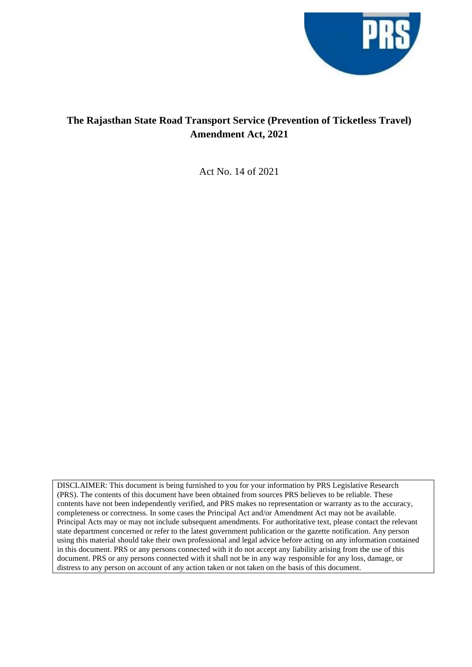

# **The Rajasthan State Road Transport Service (Prevention of Ticketless Travel) Amendment Act, 2021**

Act No. 14 of 2021

DISCLAIMER: This document is being furnished to you for your information by PRS Legislative Research (PRS). The contents of this document have been obtained from sources PRS believes to be reliable. These contents have not been independently verified, and PRS makes no representation or warranty as to the accuracy, completeness or correctness. In some cases the Principal Act and/or Amendment Act may not be available. Principal Acts may or may not include subsequent amendments. For authoritative text, please contact the relevant state department concerned or refer to the latest government publication or the gazette notification. Any person using this material should take their own professional and legal advice before acting on any information contained in this document. PRS or any persons connected with it do not accept any liability arising from the use of this document. PRS or any persons connected with it shall not be in any way responsible for any loss, damage, or distress to any person on account of any action taken or not taken on the basis of this document.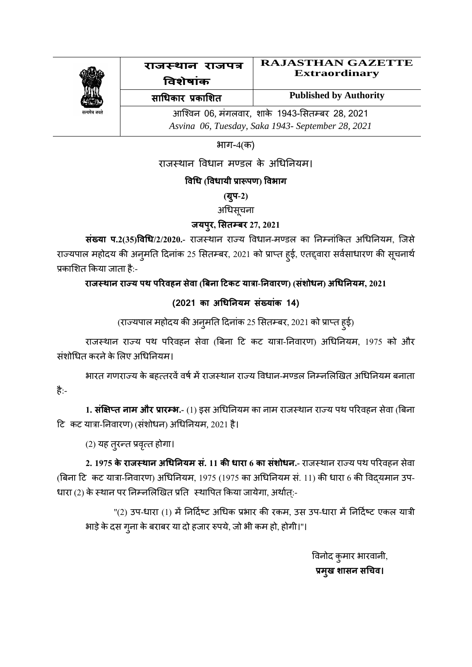

#### राजस्थान राजपत्र **RAJASTHAN GAZETTE Extraordinary**

**विशेषाांक साधिकार प्रकाशशत**

**Published by Authority**

आश्विन 06*,* मंगलिार*,* शाके1943-सितम् बर 28*,* 2021 *Asvina 06, Tuesday, Saka 1943- September 28, 2021*

भाग-4(क)

राजस्थान विधान मण्डल के अधिनियम।

### **विधि (वििायी प्रारू्ण) विभाग**

**(ग्र्ु-2)**

अधिसूचना

### **जय्रु, शसतम्बर 27, 2021**

**संख्या प.2(35)विधि/2/2020.-** राजस्थान राज्य विधान-मण्डल का निम्नांकित अधिनियम, जिसे राज्यपाल महोदय की अन्मति दिनांक 25 सितम्बर, 2021 को प्राप्त हुई, एतद्दवारा सर्वसाधारण की सूचनार्थ प्रकाशित किया जाता है:-

**राजस् थान र राज य ्थ ्ररिहन र सेिा (बबन रा टिकि यारा-नन रिारण) (सांशोिन र) अधिनन रयम, 2021**

## **(2021 का अधिनन रयम सांख याांक 1**

(राज्यपाल महोदय की अनुमति दिनांक 25 सितम्बर, 2021 को प्राप्त हुई)

राजस्थान राज्य पथ परिवहन सेवा (बिना टि कट यात्रा-निवारण) अधिनियम, 1975 को और संशोधित करने के लिए अधिनियम।

भारत गणराज्य के बहत्तरवें वर्ष में राजस्थान राज्य विधान-मण्डल निम्नलिखित अधिनियम बनाता है:-

1**. संक्षिप्त नाम और प्रारम्भ.-** (1) इस अधिनियम का नाम राजस्थान राज्य पथ परिवहन सेवा (बिना टि कट यात्रा-निवारण) (संशोधन) अधिनियम, 2021 है।

(2) मह तरुनत प्रित्ृत होगा।

**2. 1975 के राजस्थान अधिनियम सं. 11 की धारा 6 का संशोधन.- राजस्थान राज्य पथ परिवहन सेवा** (बिना टि कट यात्रा-निवारण) अधिनियम, 1975 (1975 का अधिनियम सं. 11) की धारा 6 की विदयमान उप-धारा (2) के स्थान पर निम्नलिखित प्रति स्थापित किया जायेगा, अर्थात्:-

''(2) उप-धारा (1) में निर्दिष्ट अधिक प्रभार की रकम, उस उप-धारा में निर्दिष्ट एकल यात्री भाड़े के दस गुना के बराबर या दो हजार रुपये, जो भी कम हो, होगी।"।

> विनोद कुमार भारिानी, **प्रमखु शासन र सधिि।**